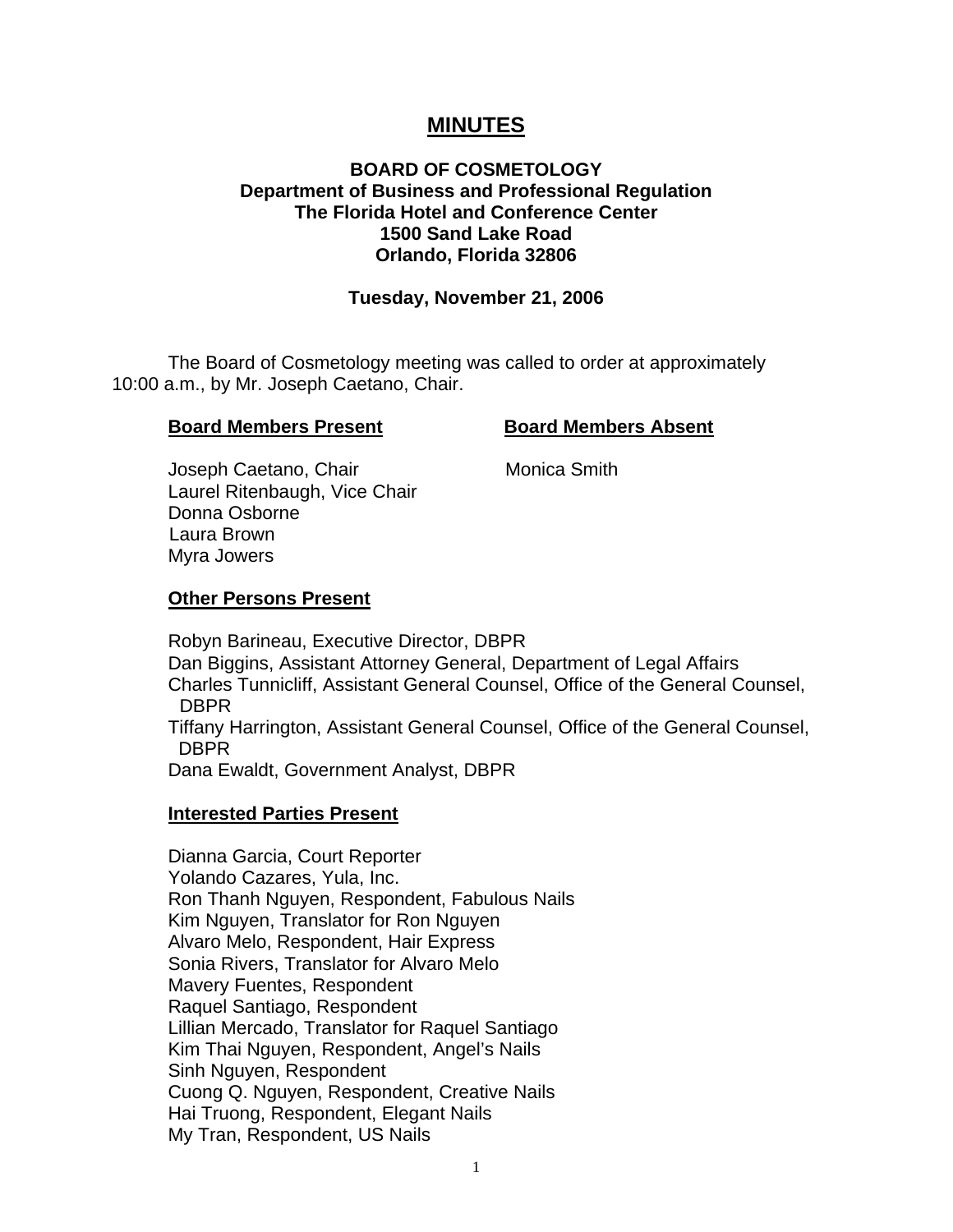# **MINUTES**

## **BOARD OF COSMETOLOGY Department of Business and Professional Regulation The Florida Hotel and Conference Center 1500 Sand Lake Road Orlando, Florida 32806**

### **Tuesday, November 21, 2006**

 The Board of Cosmetology meeting was called to order at approximately 10:00 a.m., by Mr. Joseph Caetano, Chair.

#### **Board Members Present Board Members Absent**

Joseph Caetano, Chair **Monica Smith**  Laurel Ritenbaugh, Vice Chair Donna Osborne Laura Brown Myra Jowers

#### **Other Persons Present**

 Robyn Barineau, Executive Director, DBPR Dan Biggins, Assistant Attorney General, Department of Legal Affairs Charles Tunnicliff, Assistant General Counsel, Office of the General Counsel, DBPR Tiffany Harrington, Assistant General Counsel, Office of the General Counsel, DBPR Dana Ewaldt, Government Analyst, DBPR

### **Interested Parties Present**

Dianna Garcia, Court Reporter Yolando Cazares, Yula, Inc. Ron Thanh Nguyen, Respondent, Fabulous Nails Kim Nguyen, Translator for Ron Nguyen Alvaro Melo, Respondent, Hair Express Sonia Rivers, Translator for Alvaro Melo Mavery Fuentes, Respondent Raquel Santiago, Respondent Lillian Mercado, Translator for Raquel Santiago Kim Thai Nguyen, Respondent, Angel's Nails Sinh Nguyen, Respondent Cuong Q. Nguyen, Respondent, Creative Nails Hai Truong, Respondent, Elegant Nails My Tran, Respondent, US Nails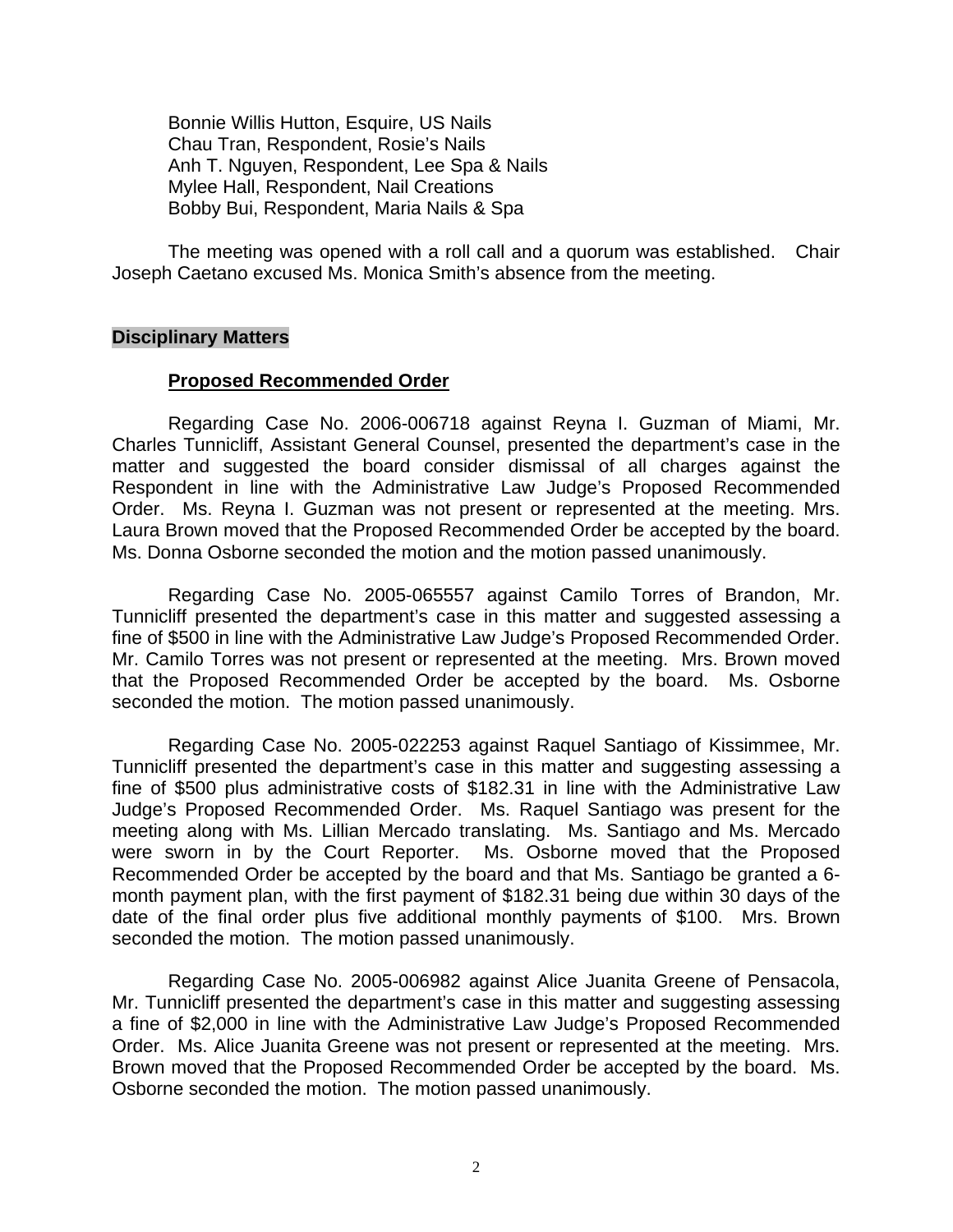Bonnie Willis Hutton, Esquire, US Nails Chau Tran, Respondent, Rosie's Nails Anh T. Nguyen, Respondent, Lee Spa & Nails Mylee Hall, Respondent, Nail Creations Bobby Bui, Respondent, Maria Nails & Spa

 The meeting was opened with a roll call and a quorum was established. Chair Joseph Caetano excused Ms. Monica Smith's absence from the meeting.

## **Disciplinary Matters**

#### **Proposed Recommended Order**

 Regarding Case No. 2006-006718 against Reyna I. Guzman of Miami, Mr. Charles Tunnicliff, Assistant General Counsel, presented the department's case in the matter and suggested the board consider dismissal of all charges against the Respondent in line with the Administrative Law Judge's Proposed Recommended Order. Ms. Reyna I. Guzman was not present or represented at the meeting. Mrs. Laura Brown moved that the Proposed Recommended Order be accepted by the board. Ms. Donna Osborne seconded the motion and the motion passed unanimously.

 Regarding Case No. 2005-065557 against Camilo Torres of Brandon, Mr. Tunnicliff presented the department's case in this matter and suggested assessing a fine of \$500 in line with the Administrative Law Judge's Proposed Recommended Order. Mr. Camilo Torres was not present or represented at the meeting. Mrs. Brown moved that the Proposed Recommended Order be accepted by the board. Ms. Osborne seconded the motion. The motion passed unanimously.

 Regarding Case No. 2005-022253 against Raquel Santiago of Kissimmee, Mr. Tunnicliff presented the department's case in this matter and suggesting assessing a fine of \$500 plus administrative costs of \$182.31 in line with the Administrative Law Judge's Proposed Recommended Order. Ms. Raquel Santiago was present for the meeting along with Ms. Lillian Mercado translating. Ms. Santiago and Ms. Mercado were sworn in by the Court Reporter. Ms. Osborne moved that the Proposed Recommended Order be accepted by the board and that Ms. Santiago be granted a 6 month payment plan, with the first payment of \$182.31 being due within 30 days of the date of the final order plus five additional monthly payments of \$100. Mrs. Brown seconded the motion. The motion passed unanimously.

 Regarding Case No. 2005-006982 against Alice Juanita Greene of Pensacola, Mr. Tunnicliff presented the department's case in this matter and suggesting assessing a fine of \$2,000 in line with the Administrative Law Judge's Proposed Recommended Order. Ms. Alice Juanita Greene was not present or represented at the meeting. Mrs. Brown moved that the Proposed Recommended Order be accepted by the board. Ms. Osborne seconded the motion. The motion passed unanimously.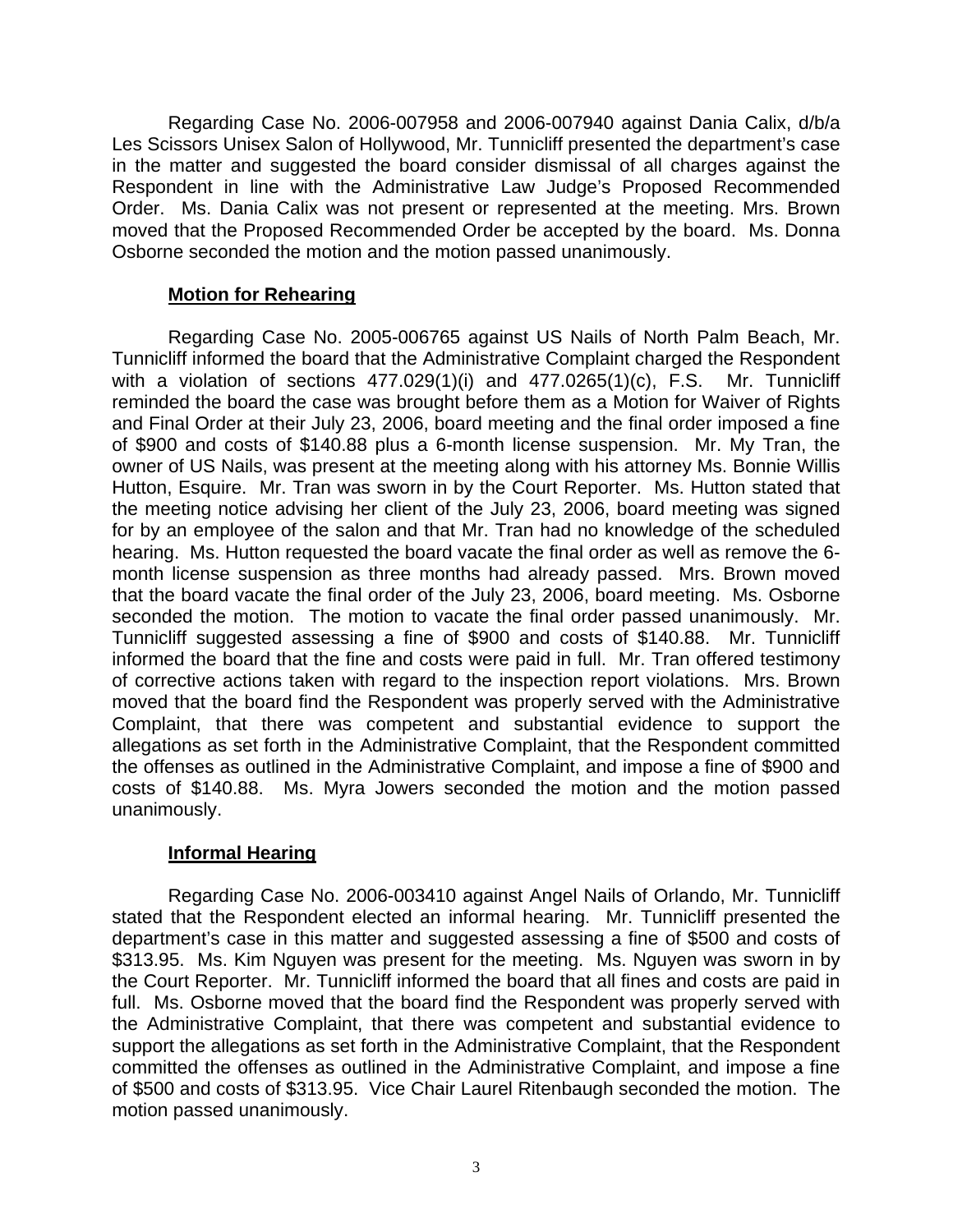Regarding Case No. 2006-007958 and 2006-007940 against Dania Calix, d/b/a Les Scissors Unisex Salon of Hollywood, Mr. Tunnicliff presented the department's case in the matter and suggested the board consider dismissal of all charges against the Respondent in line with the Administrative Law Judge's Proposed Recommended Order. Ms. Dania Calix was not present or represented at the meeting. Mrs. Brown moved that the Proposed Recommended Order be accepted by the board. Ms. Donna Osborne seconded the motion and the motion passed unanimously.

# **Motion for Rehearing**

 Regarding Case No. 2005-006765 against US Nails of North Palm Beach, Mr. Tunnicliff informed the board that the Administrative Complaint charged the Respondent with a violation of sections 477.029(1)(i) and 477.0265(1)(c), F.S. Mr. Tunnicliff reminded the board the case was brought before them as a Motion for Waiver of Rights and Final Order at their July 23, 2006, board meeting and the final order imposed a fine of \$900 and costs of \$140.88 plus a 6-month license suspension. Mr. My Tran, the owner of US Nails, was present at the meeting along with his attorney Ms. Bonnie Willis Hutton, Esquire. Mr. Tran was sworn in by the Court Reporter. Ms. Hutton stated that the meeting notice advising her client of the July 23, 2006, board meeting was signed for by an employee of the salon and that Mr. Tran had no knowledge of the scheduled hearing. Ms. Hutton requested the board vacate the final order as well as remove the 6 month license suspension as three months had already passed. Mrs. Brown moved that the board vacate the final order of the July 23, 2006, board meeting. Ms. Osborne seconded the motion. The motion to vacate the final order passed unanimously. Mr. Tunnicliff suggested assessing a fine of \$900 and costs of \$140.88. Mr. Tunnicliff informed the board that the fine and costs were paid in full. Mr. Tran offered testimony of corrective actions taken with regard to the inspection report violations. Mrs. Brown moved that the board find the Respondent was properly served with the Administrative Complaint, that there was competent and substantial evidence to support the allegations as set forth in the Administrative Complaint, that the Respondent committed the offenses as outlined in the Administrative Complaint, and impose a fine of \$900 and costs of \$140.88. Ms. Myra Jowers seconded the motion and the motion passed unanimously.

## **Informal Hearing**

 Regarding Case No. 2006-003410 against Angel Nails of Orlando, Mr. Tunnicliff stated that the Respondent elected an informal hearing. Mr. Tunnicliff presented the department's case in this matter and suggested assessing a fine of \$500 and costs of \$313.95. Ms. Kim Nguyen was present for the meeting. Ms. Nguyen was sworn in by the Court Reporter. Mr. Tunnicliff informed the board that all fines and costs are paid in full. Ms. Osborne moved that the board find the Respondent was properly served with the Administrative Complaint, that there was competent and substantial evidence to support the allegations as set forth in the Administrative Complaint, that the Respondent committed the offenses as outlined in the Administrative Complaint, and impose a fine of \$500 and costs of \$313.95. Vice Chair Laurel Ritenbaugh seconded the motion. The motion passed unanimously.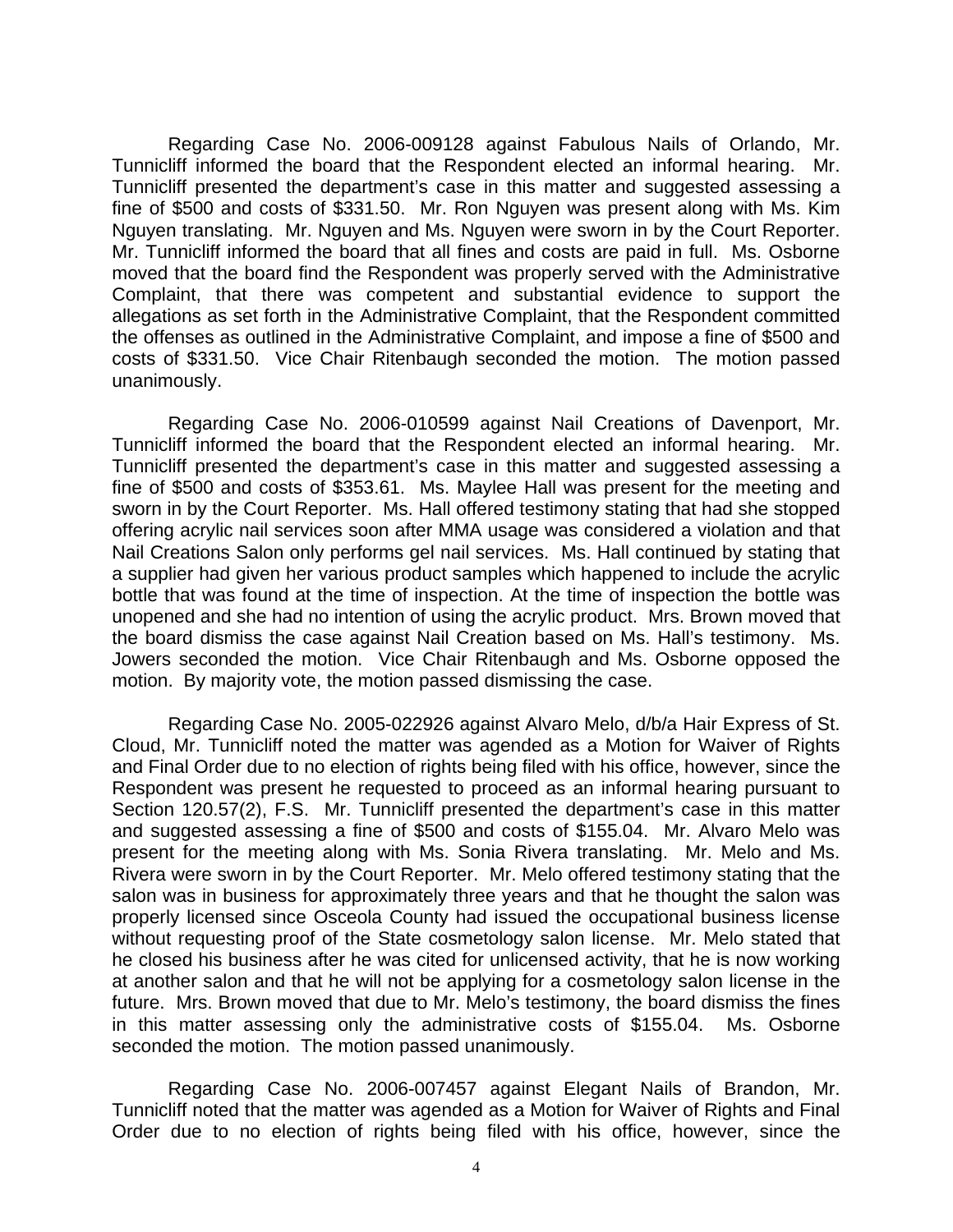Regarding Case No. 2006-009128 against Fabulous Nails of Orlando, Mr. Tunnicliff informed the board that the Respondent elected an informal hearing. Mr. Tunnicliff presented the department's case in this matter and suggested assessing a fine of \$500 and costs of \$331.50. Mr. Ron Nguyen was present along with Ms. Kim Nguyen translating. Mr. Nguyen and Ms. Nguyen were sworn in by the Court Reporter. Mr. Tunnicliff informed the board that all fines and costs are paid in full. Ms. Osborne moved that the board find the Respondent was properly served with the Administrative Complaint, that there was competent and substantial evidence to support the allegations as set forth in the Administrative Complaint, that the Respondent committed the offenses as outlined in the Administrative Complaint, and impose a fine of \$500 and costs of \$331.50. Vice Chair Ritenbaugh seconded the motion. The motion passed unanimously.

 Regarding Case No. 2006-010599 against Nail Creations of Davenport, Mr. Tunnicliff informed the board that the Respondent elected an informal hearing. Mr. Tunnicliff presented the department's case in this matter and suggested assessing a fine of \$500 and costs of \$353.61. Ms. Maylee Hall was present for the meeting and sworn in by the Court Reporter. Ms. Hall offered testimony stating that had she stopped offering acrylic nail services soon after MMA usage was considered a violation and that Nail Creations Salon only performs gel nail services. Ms. Hall continued by stating that a supplier had given her various product samples which happened to include the acrylic bottle that was found at the time of inspection. At the time of inspection the bottle was unopened and she had no intention of using the acrylic product. Mrs. Brown moved that the board dismiss the case against Nail Creation based on Ms. Hall's testimony. Ms. Jowers seconded the motion. Vice Chair Ritenbaugh and Ms. Osborne opposed the motion. By majority vote, the motion passed dismissing the case.

 Regarding Case No. 2005-022926 against Alvaro Melo, d/b/a Hair Express of St. Cloud, Mr. Tunnicliff noted the matter was agended as a Motion for Waiver of Rights and Final Order due to no election of rights being filed with his office, however, since the Respondent was present he requested to proceed as an informal hearing pursuant to Section 120.57(2), F.S. Mr. Tunnicliff presented the department's case in this matter and suggested assessing a fine of \$500 and costs of \$155.04. Mr. Alvaro Melo was present for the meeting along with Ms. Sonia Rivera translating. Mr. Melo and Ms. Rivera were sworn in by the Court Reporter. Mr. Melo offered testimony stating that the salon was in business for approximately three years and that he thought the salon was properly licensed since Osceola County had issued the occupational business license without requesting proof of the State cosmetology salon license. Mr. Melo stated that he closed his business after he was cited for unlicensed activity, that he is now working at another salon and that he will not be applying for a cosmetology salon license in the future. Mrs. Brown moved that due to Mr. Melo's testimony, the board dismiss the fines in this matter assessing only the administrative costs of \$155.04. Ms. Osborne seconded the motion. The motion passed unanimously.

 Regarding Case No. 2006-007457 against Elegant Nails of Brandon, Mr. Tunnicliff noted that the matter was agended as a Motion for Waiver of Rights and Final Order due to no election of rights being filed with his office, however, since the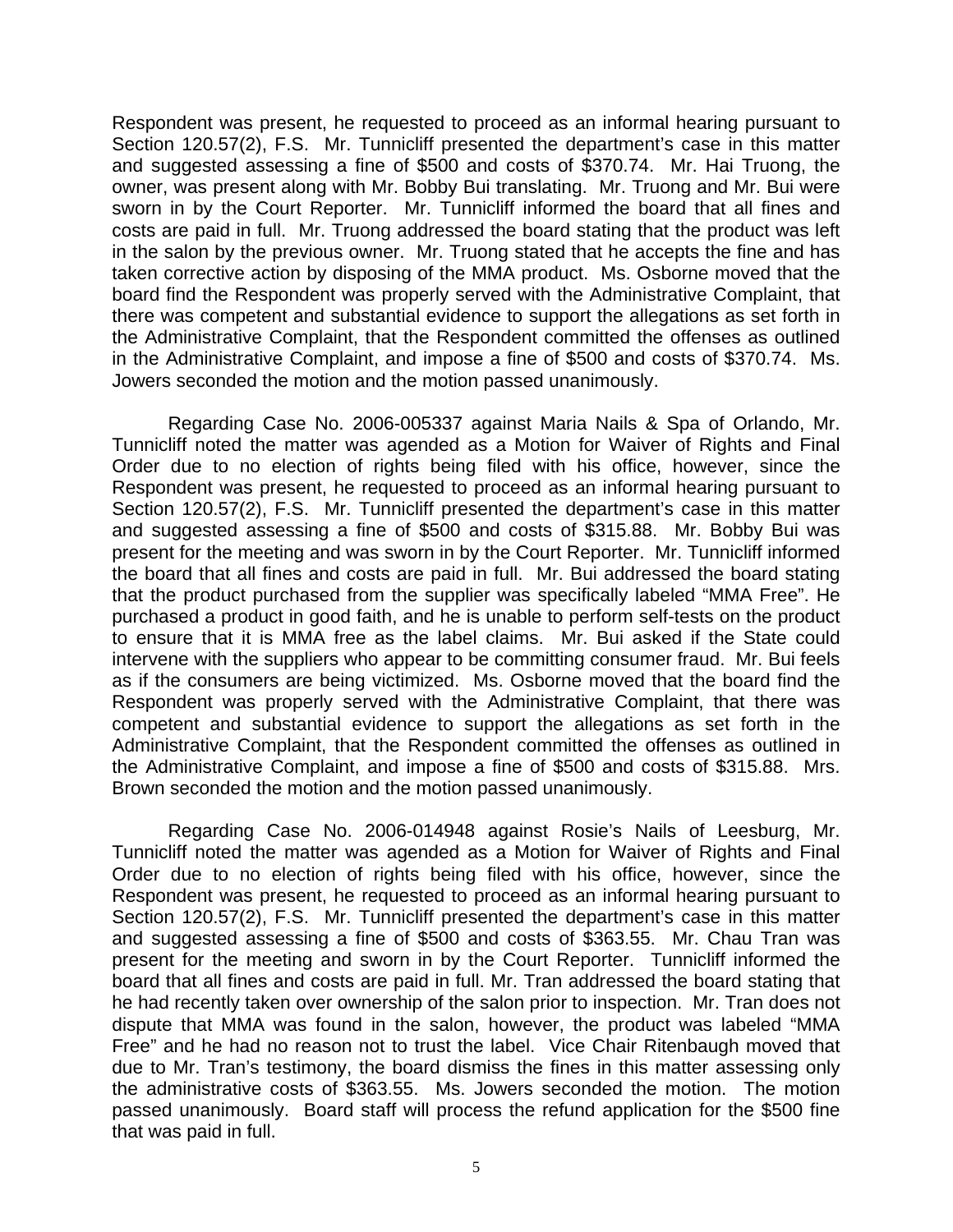Respondent was present, he requested to proceed as an informal hearing pursuant to Section 120.57(2), F.S. Mr. Tunnicliff presented the department's case in this matter and suggested assessing a fine of \$500 and costs of \$370.74. Mr. Hai Truong, the owner, was present along with Mr. Bobby Bui translating. Mr. Truong and Mr. Bui were sworn in by the Court Reporter. Mr. Tunnicliff informed the board that all fines and costs are paid in full. Mr. Truong addressed the board stating that the product was left in the salon by the previous owner. Mr. Truong stated that he accepts the fine and has taken corrective action by disposing of the MMA product. Ms. Osborne moved that the board find the Respondent was properly served with the Administrative Complaint, that there was competent and substantial evidence to support the allegations as set forth in the Administrative Complaint, that the Respondent committed the offenses as outlined in the Administrative Complaint, and impose a fine of \$500 and costs of \$370.74. Ms. Jowers seconded the motion and the motion passed unanimously.

 Regarding Case No. 2006-005337 against Maria Nails & Spa of Orlando, Mr. Tunnicliff noted the matter was agended as a Motion for Waiver of Rights and Final Order due to no election of rights being filed with his office, however, since the Respondent was present, he requested to proceed as an informal hearing pursuant to Section 120.57(2), F.S. Mr. Tunnicliff presented the department's case in this matter and suggested assessing a fine of \$500 and costs of \$315.88. Mr. Bobby Bui was present for the meeting and was sworn in by the Court Reporter. Mr. Tunnicliff informed the board that all fines and costs are paid in full. Mr. Bui addressed the board stating that the product purchased from the supplier was specifically labeled "MMA Free". He purchased a product in good faith, and he is unable to perform self-tests on the product to ensure that it is MMA free as the label claims. Mr. Bui asked if the State could intervene with the suppliers who appear to be committing consumer fraud. Mr. Bui feels as if the consumers are being victimized. Ms. Osborne moved that the board find the Respondent was properly served with the Administrative Complaint, that there was competent and substantial evidence to support the allegations as set forth in the Administrative Complaint, that the Respondent committed the offenses as outlined in the Administrative Complaint, and impose a fine of \$500 and costs of \$315.88. Mrs. Brown seconded the motion and the motion passed unanimously.

 Regarding Case No. 2006-014948 against Rosie's Nails of Leesburg, Mr. Tunnicliff noted the matter was agended as a Motion for Waiver of Rights and Final Order due to no election of rights being filed with his office, however, since the Respondent was present, he requested to proceed as an informal hearing pursuant to Section 120.57(2), F.S. Mr. Tunnicliff presented the department's case in this matter and suggested assessing a fine of \$500 and costs of \$363.55. Mr. Chau Tran was present for the meeting and sworn in by the Court Reporter. Tunnicliff informed the board that all fines and costs are paid in full. Mr. Tran addressed the board stating that he had recently taken over ownership of the salon prior to inspection. Mr. Tran does not dispute that MMA was found in the salon, however, the product was labeled "MMA Free" and he had no reason not to trust the label. Vice Chair Ritenbaugh moved that due to Mr. Tran's testimony, the board dismiss the fines in this matter assessing only the administrative costs of \$363.55. Ms. Jowers seconded the motion. The motion passed unanimously. Board staff will process the refund application for the \$500 fine that was paid in full.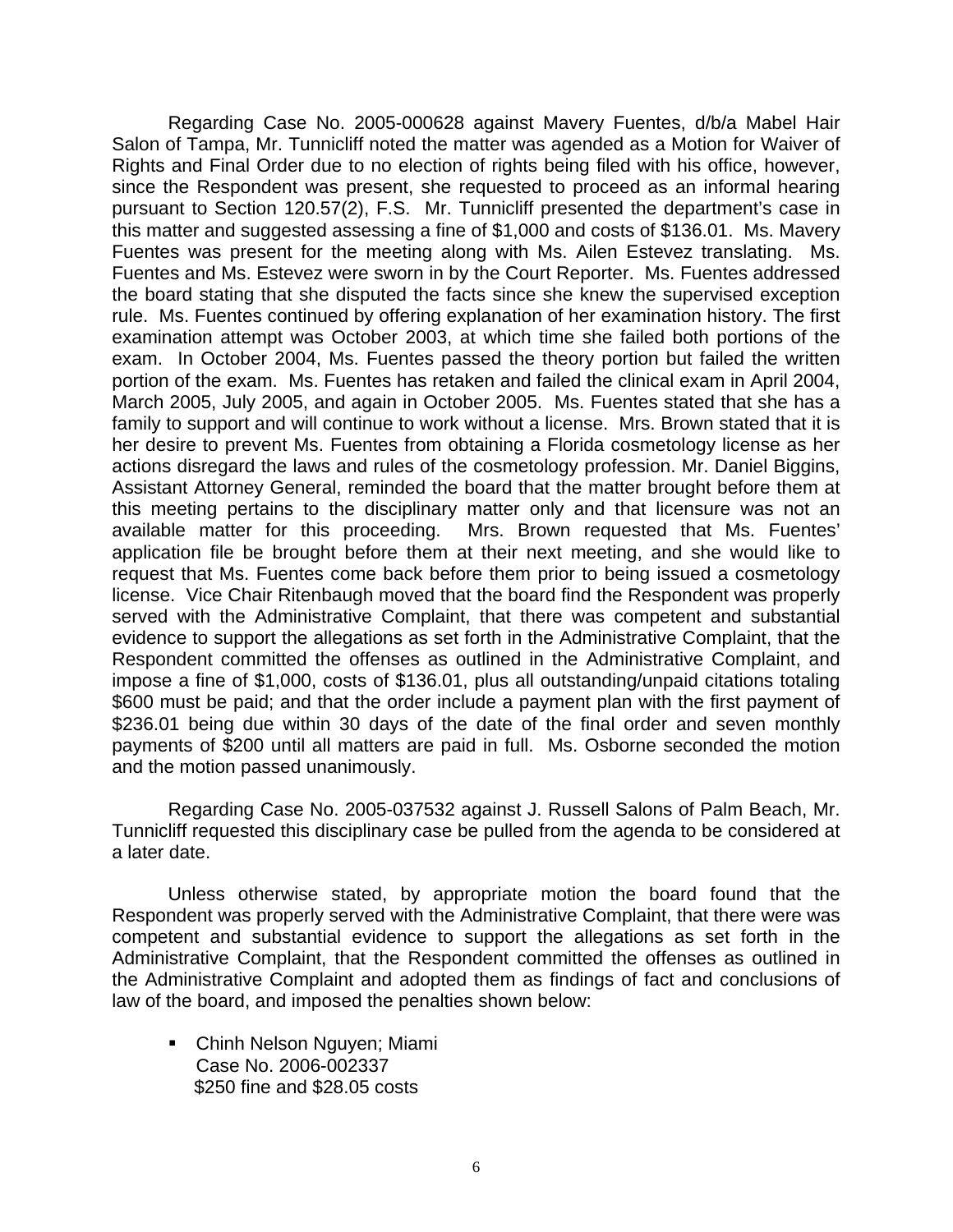Regarding Case No. 2005-000628 against Mavery Fuentes, d/b/a Mabel Hair Salon of Tampa, Mr. Tunnicliff noted the matter was agended as a Motion for Waiver of Rights and Final Order due to no election of rights being filed with his office, however, since the Respondent was present, she requested to proceed as an informal hearing pursuant to Section 120.57(2), F.S. Mr. Tunnicliff presented the department's case in this matter and suggested assessing a fine of \$1,000 and costs of \$136.01. Ms. Mavery Fuentes was present for the meeting along with Ms. Ailen Estevez translating. Ms. Fuentes and Ms. Estevez were sworn in by the Court Reporter. Ms. Fuentes addressed the board stating that she disputed the facts since she knew the supervised exception rule. Ms. Fuentes continued by offering explanation of her examination history. The first examination attempt was October 2003, at which time she failed both portions of the exam. In October 2004, Ms. Fuentes passed the theory portion but failed the written portion of the exam. Ms. Fuentes has retaken and failed the clinical exam in April 2004, March 2005, July 2005, and again in October 2005. Ms. Fuentes stated that she has a family to support and will continue to work without a license. Mrs. Brown stated that it is her desire to prevent Ms. Fuentes from obtaining a Florida cosmetology license as her actions disregard the laws and rules of the cosmetology profession. Mr. Daniel Biggins, Assistant Attorney General, reminded the board that the matter brought before them at this meeting pertains to the disciplinary matter only and that licensure was not an available matter for this proceeding. Mrs. Brown requested that Ms. Fuentes' application file be brought before them at their next meeting, and she would like to request that Ms. Fuentes come back before them prior to being issued a cosmetology license. Vice Chair Ritenbaugh moved that the board find the Respondent was properly served with the Administrative Complaint, that there was competent and substantial evidence to support the allegations as set forth in the Administrative Complaint, that the Respondent committed the offenses as outlined in the Administrative Complaint, and impose a fine of \$1,000, costs of \$136.01, plus all outstanding/unpaid citations totaling \$600 must be paid; and that the order include a payment plan with the first payment of \$236.01 being due within 30 days of the date of the final order and seven monthly payments of \$200 until all matters are paid in full. Ms. Osborne seconded the motion and the motion passed unanimously.

 Regarding Case No. 2005-037532 against J. Russell Salons of Palm Beach, Mr. Tunnicliff requested this disciplinary case be pulled from the agenda to be considered at a later date.

Unless otherwise stated, by appropriate motion the board found that the Respondent was properly served with the Administrative Complaint, that there were was competent and substantial evidence to support the allegations as set forth in the Administrative Complaint, that the Respondent committed the offenses as outlined in the Administrative Complaint and adopted them as findings of fact and conclusions of law of the board, and imposed the penalties shown below:

 Chinh Nelson Nguyen; Miami Case No. 2006-002337 \$250 fine and \$28.05 costs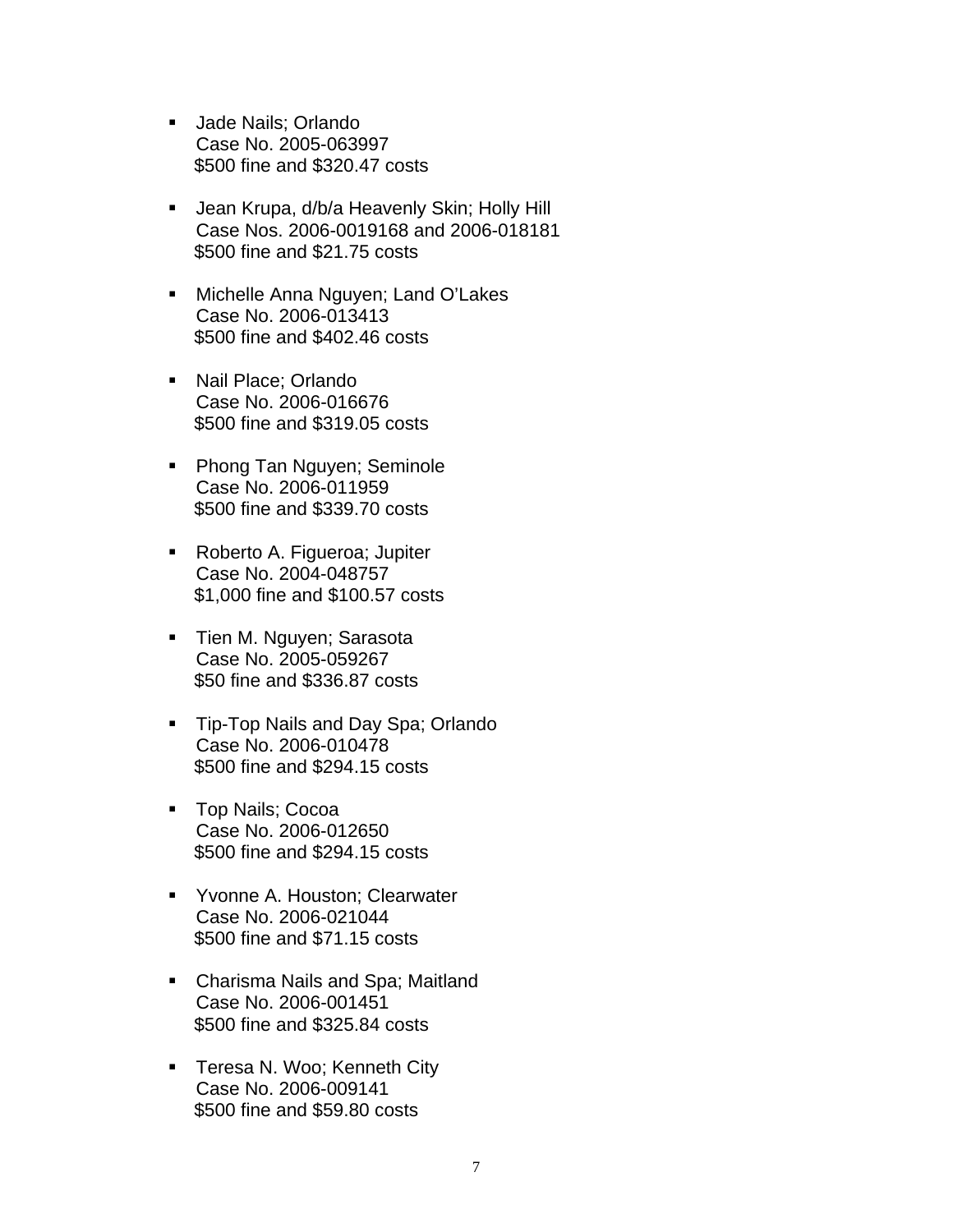- **Jade Nails: Orlando** Case No. 2005-063997 \$500 fine and \$320.47 costs
- **Jean Krupa, d/b/a Heavenly Skin; Holly Hill** Case Nos. 2006-0019168 and 2006-018181 \$500 fine and \$21.75 costs
- **Michelle Anna Nguyen; Land O'Lakes** Case No. 2006-013413 \$500 fine and \$402.46 costs
- Nail Place; Orlando Case No. 2006-016676 \$500 fine and \$319.05 costs
- **Phong Tan Nguyen; Seminole** Case No. 2006-011959 \$500 fine and \$339.70 costs
- **Roberto A. Figueroa; Jupiter** Case No. 2004-048757 \$1,000 fine and \$100.57 costs
- **Tien M. Nguyen; Sarasota** Case No. 2005-059267 \$50 fine and \$336.87 costs
- **Tip-Top Nails and Day Spa; Orlando** Case No. 2006-010478 \$500 fine and \$294.15 costs
- Top Nails; Cocoa Case No. 2006-012650 \$500 fine and \$294.15 costs
- **Yvonne A. Houston; Clearwater** Case No. 2006-021044 \$500 fine and \$71.15 costs
- Charisma Nails and Spa; Maitland Case No. 2006-001451 \$500 fine and \$325.84 costs
- **Teresa N. Woo; Kenneth City** Case No. 2006-009141 \$500 fine and \$59.80 costs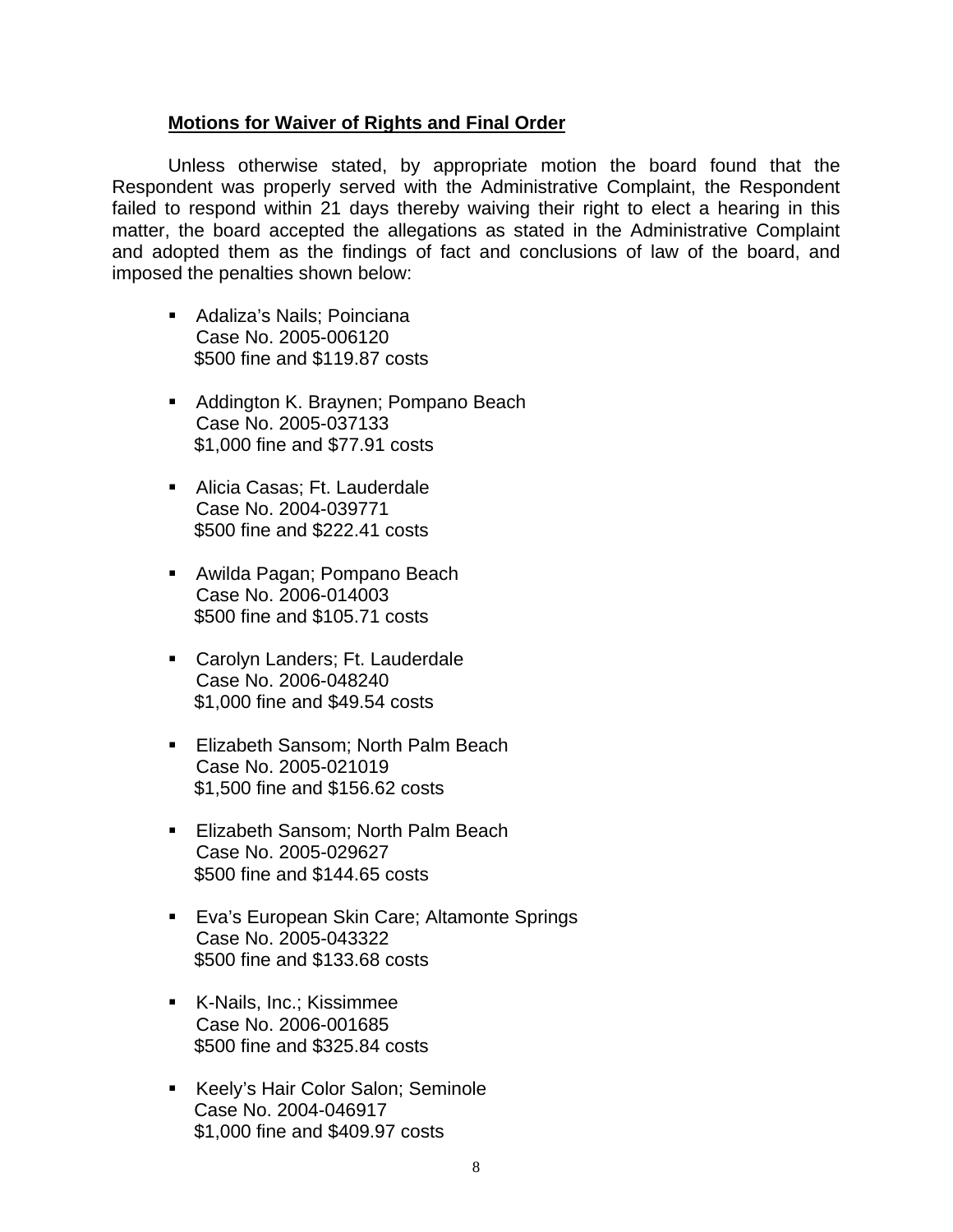## **Motions for Waiver of Rights and Final Order**

 Unless otherwise stated, by appropriate motion the board found that the Respondent was properly served with the Administrative Complaint, the Respondent failed to respond within 21 days thereby waiving their right to elect a hearing in this matter, the board accepted the allegations as stated in the Administrative Complaint and adopted them as the findings of fact and conclusions of law of the board, and imposed the penalties shown below:

- Adaliza's Nails: Poinciana Case No. 2005-006120 \$500 fine and \$119.87 costs
- Addington K. Braynen; Pompano Beach Case No. 2005-037133 \$1,000 fine and \$77.91 costs
- Alicia Casas; Ft. Lauderdale Case No. 2004-039771 \$500 fine and \$222.41 costs
- Awilda Pagan; Pompano Beach Case No. 2006-014003 \$500 fine and \$105.71 costs
- **Carolyn Landers; Ft. Lauderdale** Case No. 2006-048240 \$1,000 fine and \$49.54 costs
- **Elizabeth Sansom; North Palm Beach** Case No. 2005-021019 \$1,500 fine and \$156.62 costs
- **Elizabeth Sansom: North Palm Beach** Case No. 2005-029627 \$500 fine and \$144.65 costs
- **Eva's European Skin Care; Altamonte Springs** Case No. 2005-043322 \$500 fine and \$133.68 costs
- K-Nails, Inc.; Kissimmee Case No. 2006-001685 \$500 fine and \$325.84 costs
- Keely's Hair Color Salon; Seminole Case No. 2004-046917 \$1,000 fine and \$409.97 costs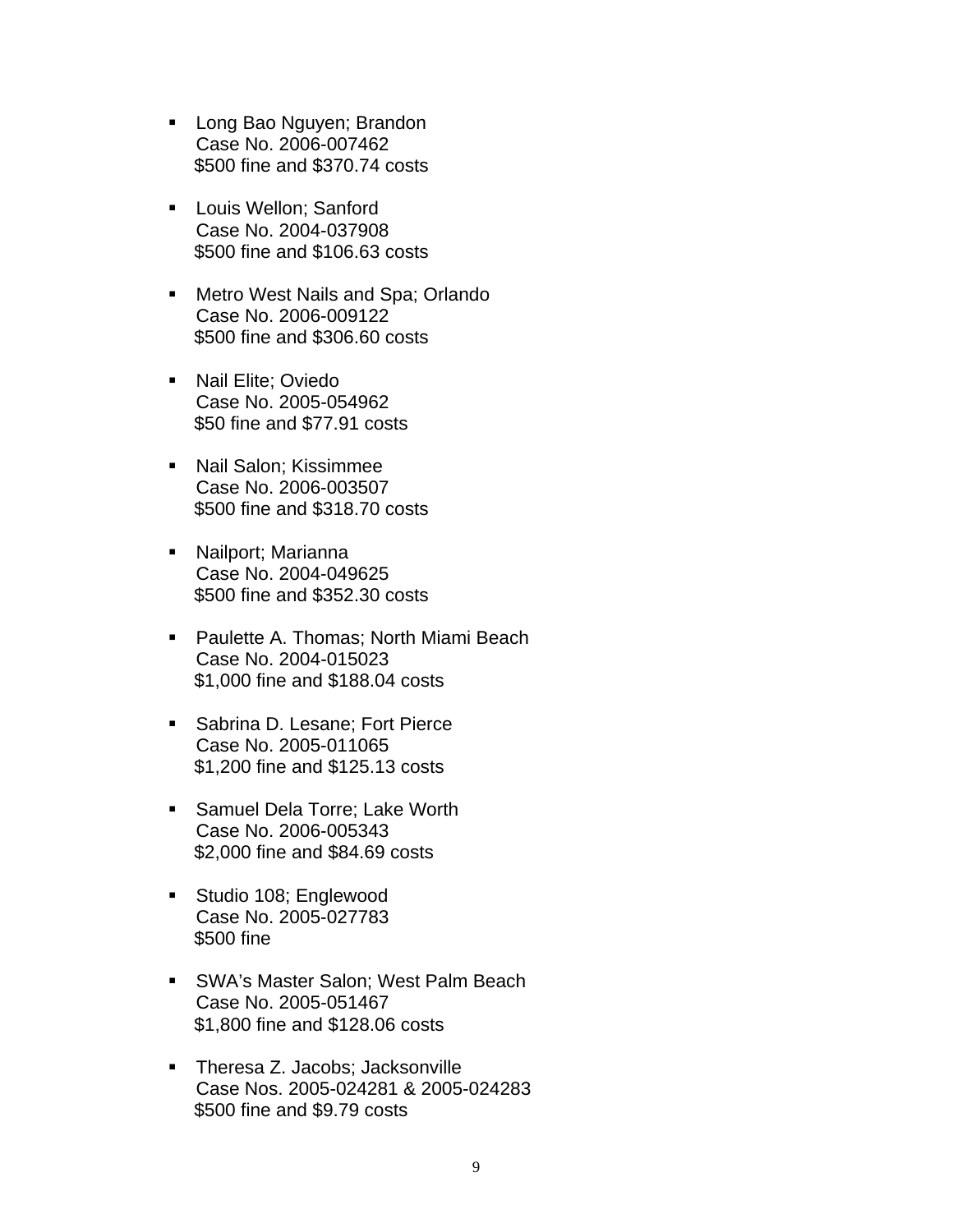- **Long Bao Nguyen; Brandon** Case No. 2006-007462 \$500 fine and \$370.74 costs
- **Louis Wellon; Sanford** Case No. 2004-037908 \$500 fine and \$106.63 costs
- **Metro West Nails and Spa; Orlando** Case No. 2006-009122 \$500 fine and \$306.60 costs
- Nail Elite; Oviedo Case No. 2005-054962 \$50 fine and \$77.91 costs
- Nail Salon; Kissimmee Case No. 2006-003507 \$500 fine and \$318.70 costs
- Nailport; Marianna Case No. 2004-049625 \$500 fine and \$352.30 costs
- **Paulette A. Thomas; North Miami Beach** Case No. 2004-015023 \$1,000 fine and \$188.04 costs
- **Sabrina D. Lesane; Fort Pierce** Case No. 2005-011065 \$1,200 fine and \$125.13 costs
- Samuel Dela Torre; Lake Worth Case No. 2006-005343 \$2,000 fine and \$84.69 costs
- **Studio 108; Englewood** Case No. 2005-027783 \$500 fine
- SWA's Master Salon; West Palm Beach Case No. 2005-051467 \$1,800 fine and \$128.06 costs
- **Theresa Z. Jacobs; Jacksonville** Case Nos. 2005-024281 & 2005-024283 \$500 fine and \$9.79 costs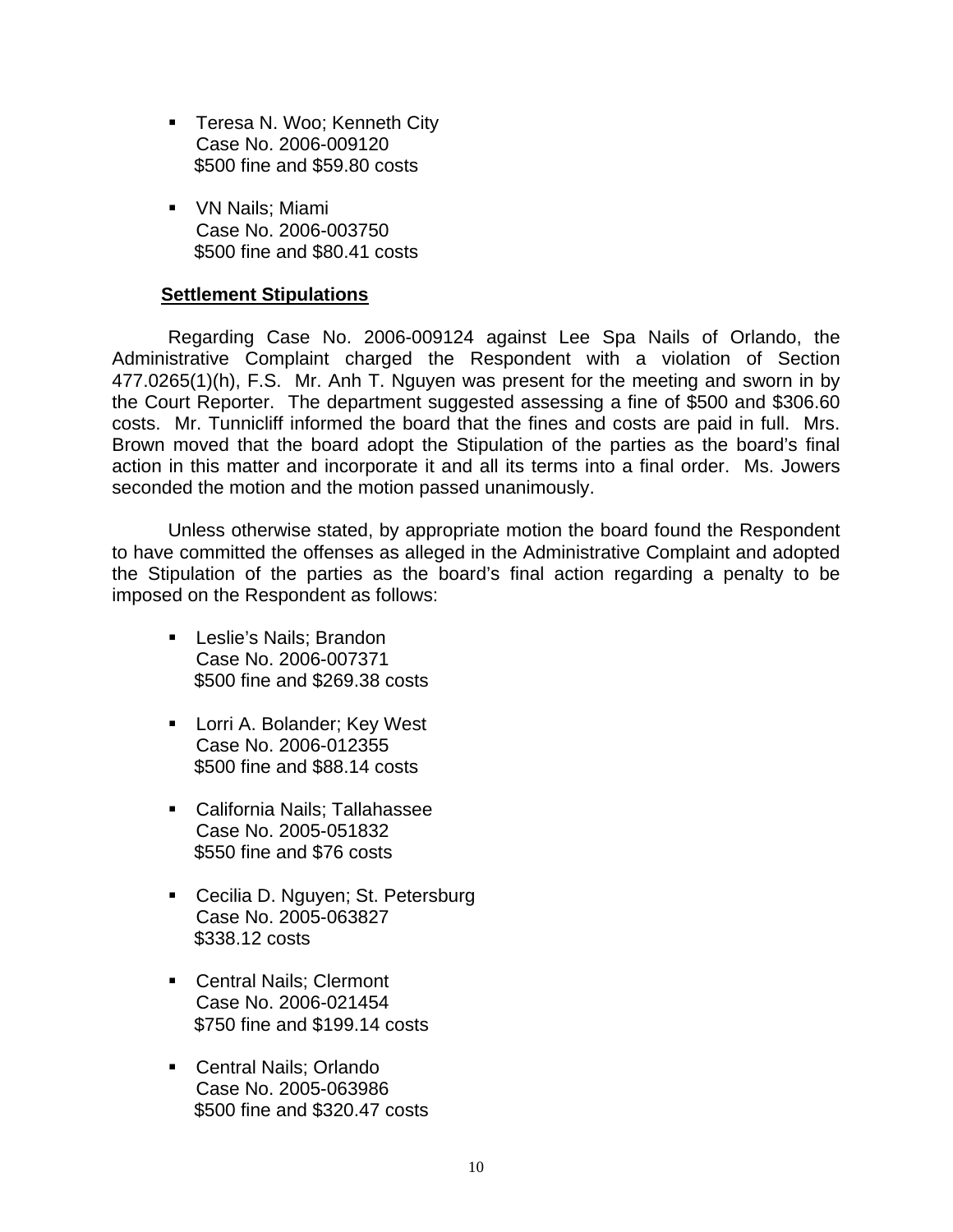- **Teresa N. Woo; Kenneth City** Case No. 2006-009120 \$500 fine and \$59.80 costs
- **VN Nails**; Miami Case No. 2006-003750 \$500 fine and \$80.41 costs

# **Settlement Stipulations**

 Regarding Case No. 2006-009124 against Lee Spa Nails of Orlando, the Administrative Complaint charged the Respondent with a violation of Section 477.0265(1)(h), F.S. Mr. Anh T. Nguyen was present for the meeting and sworn in by the Court Reporter. The department suggested assessing a fine of \$500 and \$306.60 costs. Mr. Tunnicliff informed the board that the fines and costs are paid in full. Mrs. Brown moved that the board adopt the Stipulation of the parties as the board's final action in this matter and incorporate it and all its terms into a final order. Ms. Jowers seconded the motion and the motion passed unanimously.

 Unless otherwise stated, by appropriate motion the board found the Respondent to have committed the offenses as alleged in the Administrative Complaint and adopted the Stipulation of the parties as the board's final action regarding a penalty to be imposed on the Respondent as follows:

- **Leslie's Nails; Brandon** Case No. 2006-007371 \$500 fine and \$269.38 costs
- **Lorri A. Bolander; Key West** Case No. 2006-012355 \$500 fine and \$88.14 costs
- California Nails; Tallahassee Case No. 2005-051832 \$550 fine and \$76 costs
- Cecilia D. Nguyen; St. Petersburg Case No. 2005-063827 \$338.12 costs
- Central Nails; Clermont Case No. 2006-021454 \$750 fine and \$199.14 costs
- **Central Nails; Orlando** Case No. 2005-063986 \$500 fine and \$320.47 costs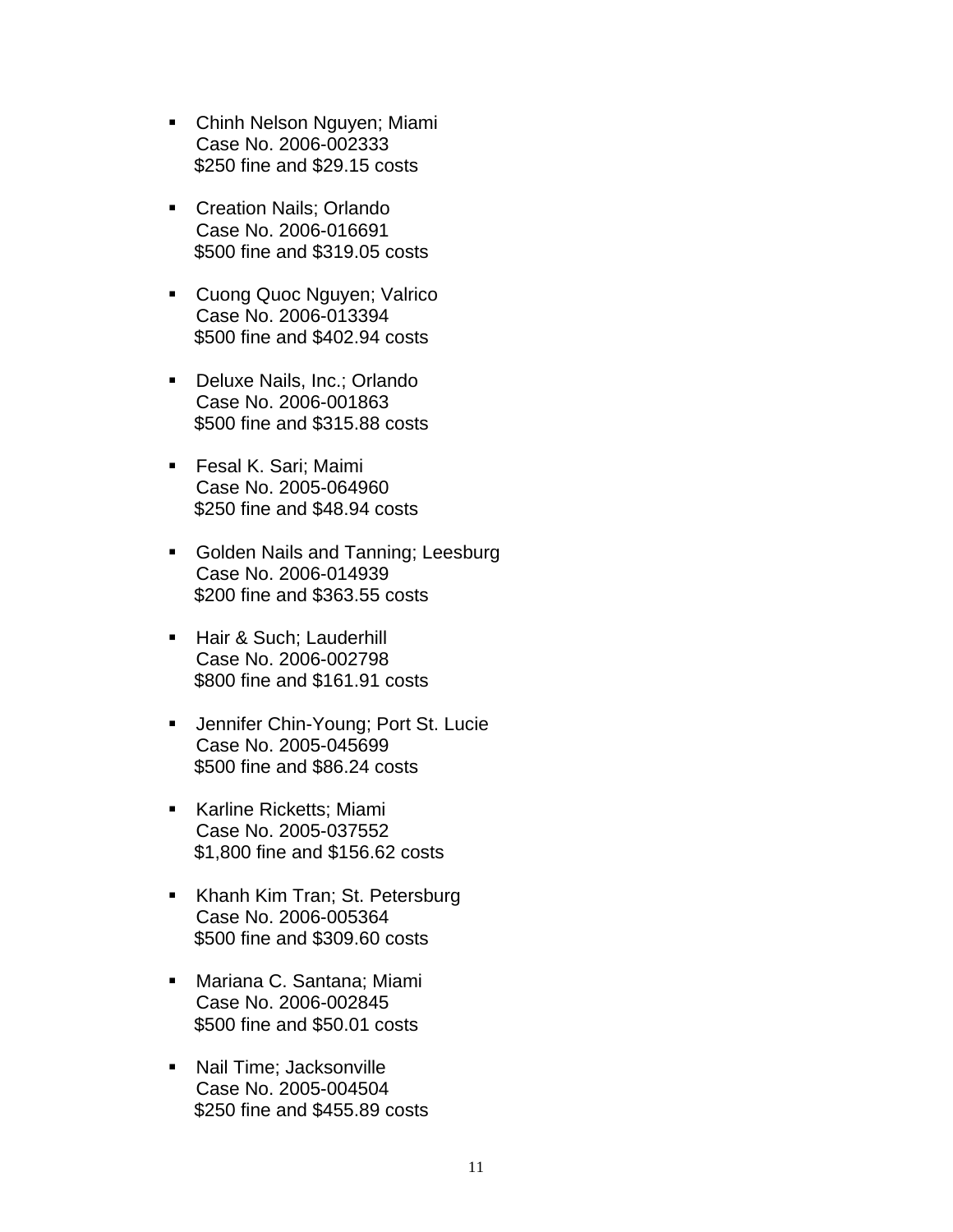- Chinh Nelson Nguyen; Miami Case No. 2006-002333 \$250 fine and \$29.15 costs
- **Creation Nails: Orlando** Case No. 2006-016691 \$500 fine and \$319.05 costs
- **Cuong Quoc Nguyen; Valrico** Case No. 2006-013394 \$500 fine and \$402.94 costs
- Deluxe Nails, Inc.; Orlando Case No. 2006-001863 \$500 fine and \$315.88 costs
- **Fesal K. Sari; Maimi** Case No. 2005-064960 \$250 fine and \$48.94 costs
- **Golden Nails and Tanning; Leesburg** Case No. 2006-014939 \$200 fine and \$363.55 costs
- Hair & Such; Lauderhill Case No. 2006-002798 \$800 fine and \$161.91 costs
- **Jennifer Chin-Young; Port St. Lucie** Case No. 2005-045699 \$500 fine and \$86.24 costs
- Karline Ricketts; Miami Case No. 2005-037552 \$1,800 fine and \$156.62 costs
- Khanh Kim Tran; St. Petersburg Case No. 2006-005364 \$500 fine and \$309.60 costs
- Mariana C. Santana; Miami Case No. 2006-002845 \$500 fine and \$50.01 costs
- **Nail Time: Jacksonville** Case No. 2005-004504 \$250 fine and \$455.89 costs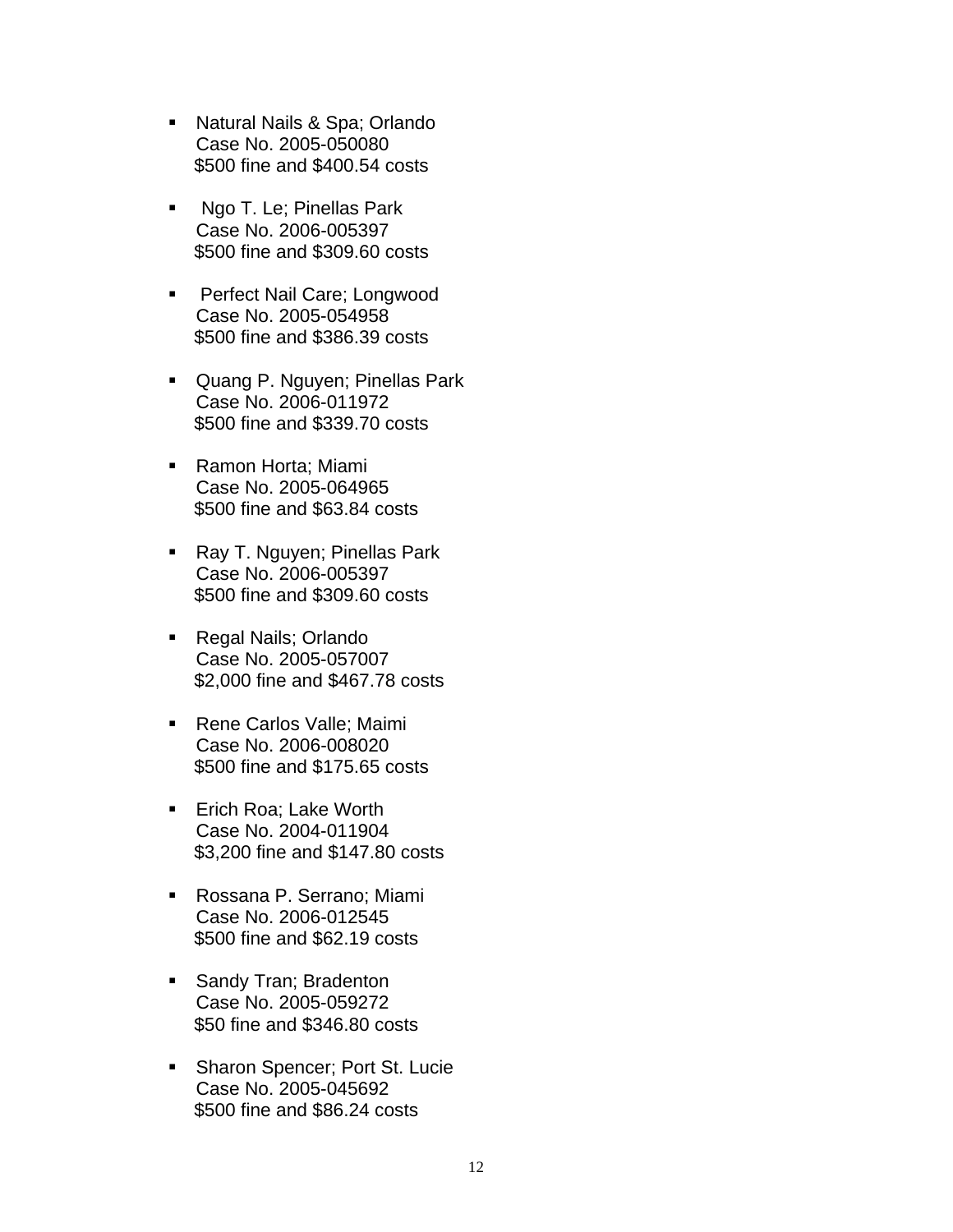- Natural Nails & Spa; Orlando Case No. 2005-050080 \$500 fine and \$400.54 costs
- Ngo T. Le; Pinellas Park Case No. 2006-005397 \$500 fine and \$309.60 costs
- **Perfect Nail Care; Longwood** Case No. 2005-054958 \$500 fine and \$386.39 costs
- Quang P. Nguyen; Pinellas Park Case No. 2006-011972 \$500 fine and \$339.70 costs
- Ramon Horta; Miami Case No. 2005-064965 \$500 fine and \$63.84 costs
- Ray T. Nguyen; Pinellas Park Case No. 2006-005397 \$500 fine and \$309.60 costs
- Regal Nails; Orlando Case No. 2005-057007 \$2,000 fine and \$467.78 costs
- Rene Carlos Valle; Maimi Case No. 2006-008020 \$500 fine and \$175.65 costs
- Erich Roa; Lake Worth Case No. 2004-011904 \$3,200 fine and \$147.80 costs
- Rossana P. Serrano; Miami Case No. 2006-012545 \$500 fine and \$62.19 costs
- **Sandy Tran; Bradenton** Case No. 2005-059272 \$50 fine and \$346.80 costs
- **Sharon Spencer; Port St. Lucie** Case No. 2005-045692 \$500 fine and \$86.24 costs